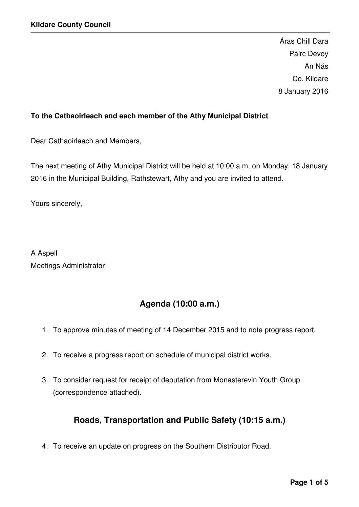Áras Chill Dara Páirc Devoy An Nás Co. Kildare 8 January 2016

# **To the Cathaoirleach and each member of the Athy Municipal District**

Dear Cathaoirleach and Members,

The next meeting of Athy Municipal District will be held at 10:00 a.m. on Monday, 18 January 2016 in the Municipal Building, Rathstewart, Athy and you are invited to attend.

Yours sincerely,

A Aspell Meetings Administrator

# **Agenda (10:00 a.m.)**

- 1. To approve minutes of meeting of 14 December 2015 and to note progress report.
- 2. To receive a progress report on schedule of municipal district works.
- 3. To consider request for receipt of deputation from Monasterevin Youth Group (correspondence attached).

# **Roads, Transportation and Public Safety (10:15 a.m.)**

4. To receive an update on progress on the Southern Distributor Road.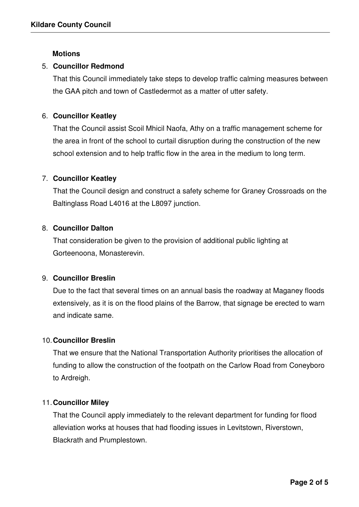## **Motions**

## 5. **Councillor Redmond**

That this Council immediately take steps to develop traffic calming measures between the GAA pitch and town of Castledermot as a matter of utter safety.

# 6. **Councillor Keatley**

That the Council assist Scoil Mhicil Naofa, Athy on a traffic management scheme for the area in front of the school to curtail disruption during the construction of the new school extension and to help traffic flow in the area in the medium to long term.

# 7. **Councillor Keatley**

That the Council design and construct a safety scheme for Graney Crossroads on the Baltinglass Road L4016 at the L8097 junction.

## 8. **Councillor Dalton**

That consideration be given to the provision of additional public lighting at Gorteenoona, Monasterevin.

#### 9. **Councillor Breslin**

Due to the fact that several times on an annual basis the roadway at Maganey floods extensively, as it is on the flood plains of the Barrow, that signage be erected to warn and indicate same.

#### 10. **Councillor Breslin**

That we ensure that the National Transportation Authority prioritises the allocation of funding to allow the construction of the footpath on the Carlow Road from Coneyboro to Ardreigh.

#### 11. **Councillor Miley**

That the Council apply immediately to the relevant department for funding for flood alleviation works at houses that had flooding issues in Levitstown, Riverstown, Blackrath and Prumplestown.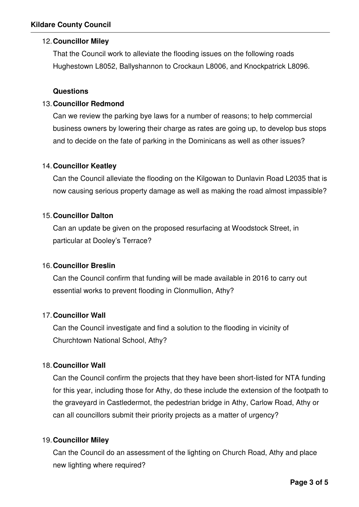# 12. **Councillor Miley**

That the Council work to alleviate the flooding issues on the following roads Hughestown L8052, Ballyshannon to Crockaun L8006, and Knockpatrick L8096.

# **Questions**

# 13. **Councillor Redmond**

Can we review the parking bye laws for a number of reasons; to help commercial business owners by lowering their charge as rates are going up, to develop bus stops and to decide on the fate of parking in the Dominicans as well as other issues?

## 14. **Councillor Keatley**

Can the Council alleviate the flooding on the Kilgowan to Dunlavin Road L2035 that is now causing serious property damage as well as making the road almost impassible?

## 15. **Councillor Dalton**

Can an update be given on the proposed resurfacing at Woodstock Street, in particular at Dooley's Terrace?

#### 16. **Councillor Breslin**

Can the Council confirm that funding will be made available in 2016 to carry out essential works to prevent flooding in Clonmullion, Athy?

# 17. **Councillor Wall**

Can the Council investigate and find a solution to the flooding in vicinity of Churchtown National School, Athy?

# 18. **Councillor Wall**

Can the Council confirm the projects that they have been short-listed for NTA funding for this year, including those for Athy, do these include the extension of the footpath to the graveyard in Castledermot, the pedestrian bridge in Athy, Carlow Road, Athy or can all councillors submit their priority projects as a matter of urgency?

#### 19. **Councillor Miley**

Can the Council do an assessment of the lighting on Church Road, Athy and place new lighting where required?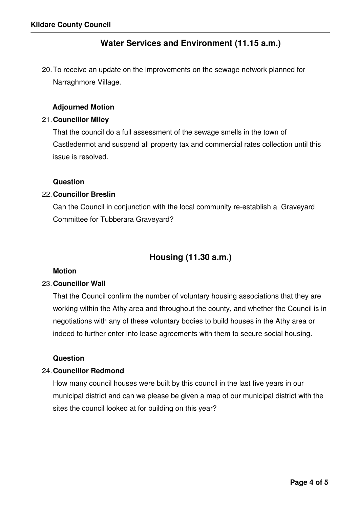# **Water Services and Environment (11.15 a.m.)**

20. To receive an update on the improvements on the sewage network planned for Narraghmore Village.

## **Adjourned Motion**

#### 21. **Councillor Miley**

That the council do a full assessment of the sewage smells in the town of Castledermot and suspend all property tax and commercial rates collection until this issue is resolved.

#### **Question**

# 22. **Councillor Breslin**

Can the Council in conjunction with the local community re-establish a Graveyard Committee for Tubberara Graveyard?

# **Housing (11.30 a.m.)**

#### **Motion**

#### 23. **Councillor Wall**

That the Council confirm the number of voluntary housing associations that they are working within the Athy area and throughout the county, and whether the Council is in negotiations with any of these voluntary bodies to build houses in the Athy area or indeed to further enter into lease agreements with them to secure social housing.

#### **Question**

## 24. **Councillor Redmond**

How many council houses were built by this council in the last five years in our municipal district and can we please be given a map of our municipal district with the sites the council looked at for building on this year?